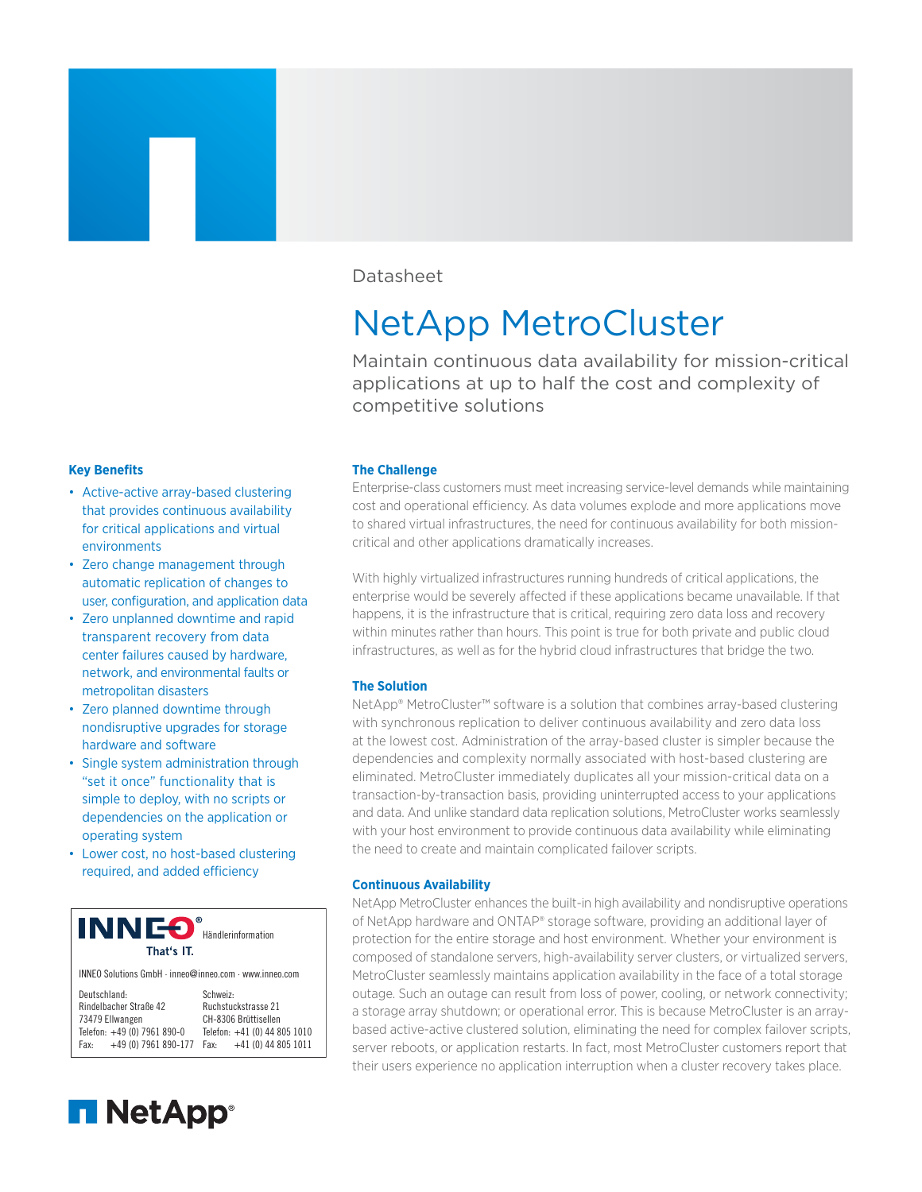## Datasheet

# NetApp MetroCluster

Maintain continuous data availability for mission-critical applications at up to half the cost and complexity of competitive solutions

## **Key Benefits**

- Active-active array-based clustering that provides continuous availability for critical applications and virtual environments
- Zero change management through automatic replication of changes to user, configuration, and application data
- Zero unplanned downtime and rapid transparent recovery from data center failures caused by hardware, network, and environmental faults or metropolitan disasters
- Zero planned downtime through nondisruptive upgrades for storage hardware and software
- Single system administration through "set it once" functionality that is simple to deploy, with no scripts or dependencies on the application or operating system
- Lower cost, no host-based clustering required, and added efficiency



INNEO Solutions GmbH · inneo@inneo.com · www.inneo.com

| Schweiz:                     |
|------------------------------|
| Ruchstuckstrasse 21          |
| CH-8306 Brüttisellen         |
| Telefon: +41 (0) 44 805 1010 |
| $+41(0)$ 44 805 1011<br>Fax: |
|                              |



### **The Challenge**

Enterprise-class customers must meet increasing service-level demands while maintaining cost and operational efficiency. As data volumes explode and more applications move to shared virtual infrastructures, the need for continuous availability for both missioncritical and other applications dramatically increases.

With highly virtualized infrastructures running hundreds of critical applications, the enterprise would be severely affected if these applications became unavailable. If that happens, it is the infrastructure that is critical, requiring zero data loss and recovery within minutes rather than hours. This point is true for both private and public cloud infrastructures, as well as for the hybrid cloud infrastructures that bridge the two.

## **The Solution**

NetApp® MetroCluster™ software is a solution that combines array-based clustering with synchronous replication to deliver continuous availability and zero data loss at the lowest cost. Administration of the array-based cluster is simpler because the dependencies and complexity normally associated with host-based clustering are eliminated. MetroCluster immediately duplicates all your mission-critical data on a transaction-by-transaction basis, providing uninterrupted access to your applications and data. And unlike standard data replication solutions, MetroCluster works seamlessly with your host environment to provide continuous data availability while eliminating the need to create and maintain complicated failover scripts.

#### **Continuous Availability**

NetApp MetroCluster enhances the built-in high availability and nondisruptive operations of NetApp hardware and ONTAP® storage software, providing an additional layer of protection for the entire storage and host environment. Whether your environment is composed of standalone servers, high-availability server clusters, or virtualized servers, MetroCluster seamlessly maintains application availability in the face of a total storage outage. Such an outage can result from loss of power, cooling, or network connectivity; a storage array shutdown; or operational error. This is because MetroCluster is an arraybased active-active clustered solution, eliminating the need for complex failover scripts, server reboots, or application restarts. In fact, most MetroCluster customers report that their users experience no application interruption when a cluster recovery takes place.